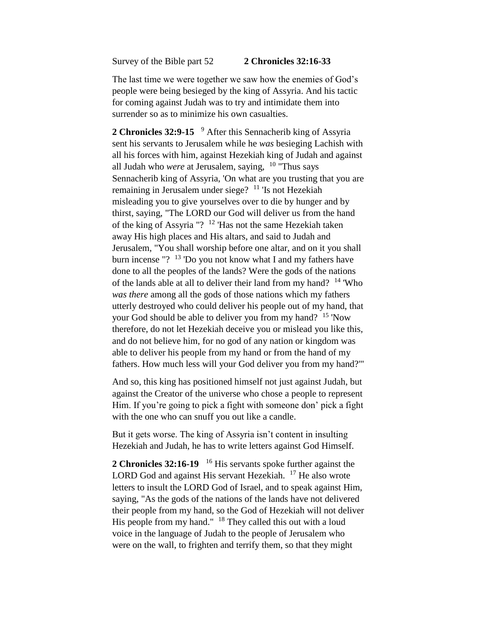Survey of the Bible part 52 **2 Chronicles 32:16-33**

The last time we were together we saw how the enemies of God's people were being besieged by the king of Assyria. And his tactic for coming against Judah was to try and intimidate them into surrender so as to minimize his own casualties.

**2 Chronicles 32:9-15**  <sup>9</sup> After this Sennacherib king of Assyria sent his servants to Jerusalem while he *was* besieging Lachish with all his forces with him, against Hezekiah king of Judah and against all Judah who *were* at Jerusalem, saying, <sup>10</sup> "Thus says Sennacherib king of Assyria, 'On what are you trusting that you are remaining in Jerusalem under siege? <sup>11</sup> 'Is not Hezekiah misleading you to give yourselves over to die by hunger and by thirst, saying, "The LORD our God will deliver us from the hand of the king of Assyria "? <sup>12</sup> 'Has not the same Hezekiah taken away His high places and His altars, and said to Judah and Jerusalem, "You shall worship before one altar, and on it you shall burn incense "?  $13$  'Do you not know what I and my fathers have done to all the peoples of the lands? Were the gods of the nations of the lands able at all to deliver their land from my hand? <sup>14</sup> 'Who *was there* among all the gods of those nations which my fathers utterly destroyed who could deliver his people out of my hand, that your God should be able to deliver you from my hand? <sup>15</sup> 'Now therefore, do not let Hezekiah deceive you or mislead you like this, and do not believe him, for no god of any nation or kingdom was able to deliver his people from my hand or from the hand of my fathers. How much less will your God deliver you from my hand?'"

And so, this king has positioned himself not just against Judah, but against the Creator of the universe who chose a people to represent Him. If you're going to pick a fight with someone don' pick a fight with the one who can snuff you out like a candle.

But it gets worse. The king of Assyria isn't content in insulting Hezekiah and Judah, he has to write letters against God Himself.

2 Chronicles 32:16-19<sup>16</sup> His servants spoke further against the LORD God and against His servant Hezekiah. <sup>17</sup> He also wrote letters to insult the LORD God of Israel, and to speak against Him, saying, "As the gods of the nations of the lands have not delivered their people from my hand, so the God of Hezekiah will not deliver His people from my hand." <sup>18</sup> They called this out with a loud voice in the language of Judah to the people of Jerusalem who were on the wall, to frighten and terrify them, so that they might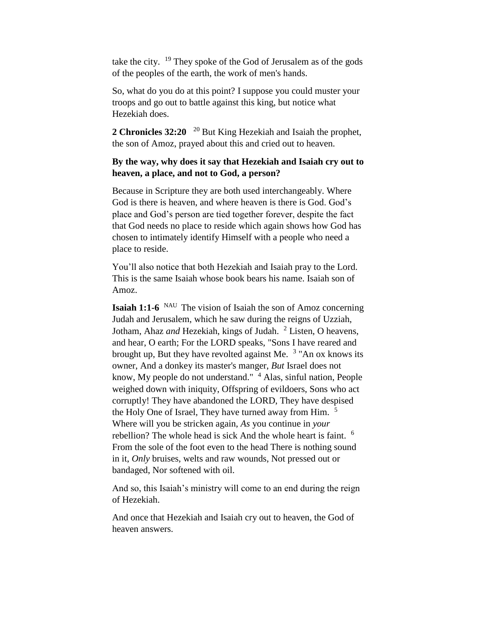take the city. <sup>19</sup> They spoke of the God of Jerusalem as of the gods of the peoples of the earth, the work of men's hands.

So, what do you do at this point? I suppose you could muster your troops and go out to battle against this king, but notice what Hezekiah does.

2 Chronicles 32:20 <sup>20</sup> But King Hezekiah and Isaiah the prophet, the son of Amoz, prayed about this and cried out to heaven.

## **By the way, why does it say that Hezekiah and Isaiah cry out to heaven, a place, and not to God, a person?**

Because in Scripture they are both used interchangeably. Where God is there is heaven, and where heaven is there is God. God's place and God's person are tied together forever, despite the fact that God needs no place to reside which again shows how God has chosen to intimately identify Himself with a people who need a place to reside.

You'll also notice that both Hezekiah and Isaiah pray to the Lord. This is the same Isaiah whose book bears his name. Isaiah son of Amoz.

**Isaiah 1:1-6** <sup>NAU</sup> The vision of Isaiah the son of Amoz concerning Judah and Jerusalem, which he saw during the reigns of Uzziah, Jotham, Ahaz *and* Hezekiah, kings of Judah. <sup>2</sup> Listen, O heavens, and hear, O earth; For the LORD speaks, "Sons I have reared and brought up, But they have revolted against Me.  $3$  "An ox knows its owner, And a donkey its master's manger, *But* Israel does not know, My people do not understand." <sup>4</sup> Alas, sinful nation, People weighed down with iniquity, Offspring of evildoers, Sons who act corruptly! They have abandoned the LORD, They have despised the Holy One of Israel, They have turned away from Him. <sup>5</sup> Where will you be stricken again, *As* you continue in *your*  rebellion? The whole head is sick And the whole heart is faint. <sup>6</sup> From the sole of the foot even to the head There is nothing sound in it, *Only* bruises, welts and raw wounds, Not pressed out or bandaged, Nor softened with oil.

And so, this Isaiah's ministry will come to an end during the reign of Hezekiah.

And once that Hezekiah and Isaiah cry out to heaven, the God of heaven answers.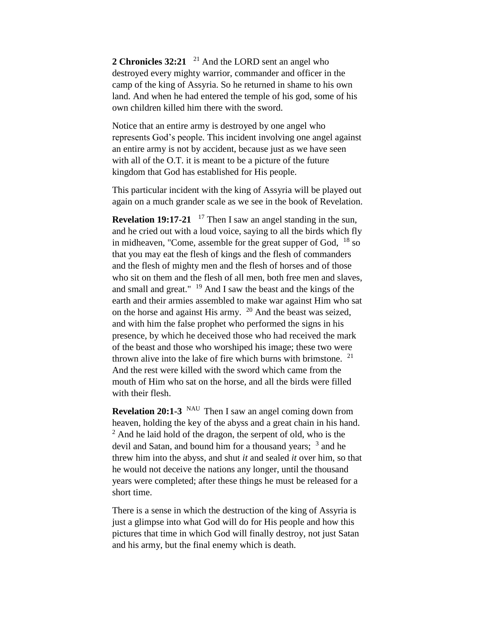2 Chronicles 32:21 <sup>21</sup> And the LORD sent an angel who destroyed every mighty warrior, commander and officer in the camp of the king of Assyria. So he returned in shame to his own land. And when he had entered the temple of his god, some of his own children killed him there with the sword.

Notice that an entire army is destroyed by one angel who represents God's people. This incident involving one angel against an entire army is not by accident, because just as we have seen with all of the O.T. it is meant to be a picture of the future kingdom that God has established for His people.

This particular incident with the king of Assyria will be played out again on a much grander scale as we see in the book of Revelation.

**Revelation 19:17-21** <sup>17</sup> Then I saw an angel standing in the sun, and he cried out with a loud voice, saying to all the birds which fly in midheaven, "Come, assemble for the great supper of God,  $18$  so that you may eat the flesh of kings and the flesh of commanders and the flesh of mighty men and the flesh of horses and of those who sit on them and the flesh of all men, both free men and slaves, and small and great." <sup>19</sup> And I saw the beast and the kings of the earth and their armies assembled to make war against Him who sat on the horse and against His army. <sup>20</sup> And the beast was seized, and with him the false prophet who performed the signs in his presence, by which he deceived those who had received the mark of the beast and those who worshiped his image; these two were thrown alive into the lake of fire which burns with brimstone.  $21$ And the rest were killed with the sword which came from the mouth of Him who sat on the horse, and all the birds were filled with their flesh.

**Revelation 20:1-3** NAU Then I saw an angel coming down from heaven, holding the key of the abyss and a great chain in his hand.  $<sup>2</sup>$  And he laid hold of the dragon, the serpent of old, who is the</sup> devil and Satan, and bound him for a thousand years; <sup>3</sup> and he threw him into the abyss, and shut *it* and sealed *it* over him, so that he would not deceive the nations any longer, until the thousand years were completed; after these things he must be released for a short time.

There is a sense in which the destruction of the king of Assyria is just a glimpse into what God will do for His people and how this pictures that time in which God will finally destroy, not just Satan and his army, but the final enemy which is death.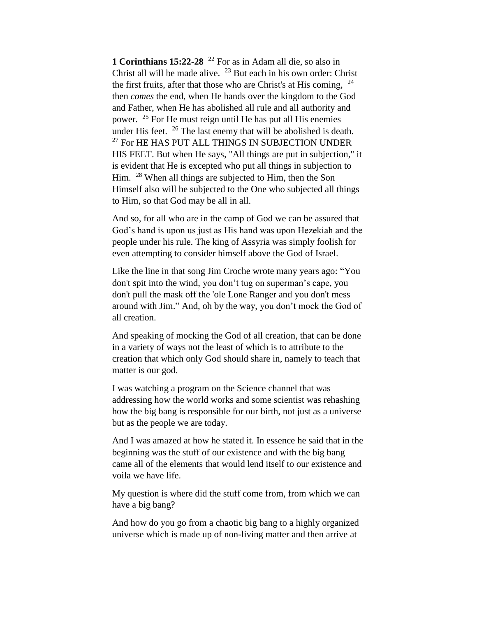**1 Corinthians 15:22-28** <sup>22</sup> For as in Adam all die, so also in Christ all will be made alive. <sup>23</sup> But each in his own order: Christ the first fruits, after that those who are Christ's at His coming,  $24$ then *comes* the end, when He hands over the kingdom to the God and Father, when He has abolished all rule and all authority and power. <sup>25</sup> For He must reign until He has put all His enemies under His feet.  $26$  The last enemy that will be abolished is death.  $27$  For HE HAS PUT ALL THINGS IN SUBJECTION UNDER HIS FEET. But when He says, "All things are put in subjection," it is evident that He is excepted who put all things in subjection to Him. <sup>28</sup> When all things are subjected to Him, then the Son Himself also will be subjected to the One who subjected all things to Him, so that God may be all in all.

And so, for all who are in the camp of God we can be assured that God's hand is upon us just as His hand was upon Hezekiah and the people under his rule. The king of Assyria was simply foolish for even attempting to consider himself above the God of Israel.

Like the line in that song Jim Croche wrote many years ago: "You don't spit into the wind, you don't tug on superman's cape, you don't pull the mask off the 'ole Lone Ranger and you don't mess around with Jim." And, oh by the way, you don't mock the God of all creation.

And speaking of mocking the God of all creation, that can be done in a variety of ways not the least of which is to attribute to the creation that which only God should share in, namely to teach that matter is our god.

I was watching a program on the Science channel that was addressing how the world works and some scientist was rehashing how the big bang is responsible for our birth, not just as a universe but as the people we are today.

And I was amazed at how he stated it. In essence he said that in the beginning was the stuff of our existence and with the big bang came all of the elements that would lend itself to our existence and voila we have life.

My question is where did the stuff come from, from which we can have a big bang?

And how do you go from a chaotic big bang to a highly organized universe which is made up of non-living matter and then arrive at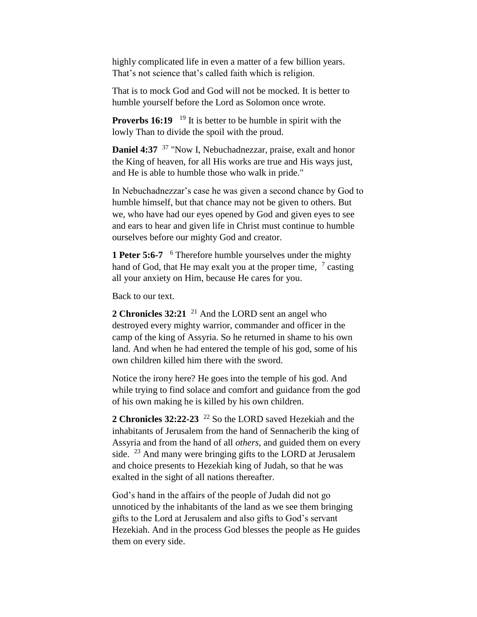highly complicated life in even a matter of a few billion years. That's not science that's called faith which is religion.

That is to mock God and God will not be mocked. It is better to humble yourself before the Lord as Solomon once wrote.

**Proverbs 16:19** <sup>19</sup> It is better to be humble in spirit with the lowly Than to divide the spoil with the proud.

**Daniel 4:37** <sup>37</sup> "Now I, Nebuchadnezzar, praise, exalt and honor the King of heaven, for all His works are true and His ways just, and He is able to humble those who walk in pride."

In Nebuchadnezzar's case he was given a second chance by God to humble himself, but that chance may not be given to others. But we, who have had our eyes opened by God and given eyes to see and ears to hear and given life in Christ must continue to humble ourselves before our mighty God and creator.

**1 Peter 5:6-7**  <sup>6</sup> Therefore humble yourselves under the mighty hand of God, that He may exalt you at the proper time,  $\frac{7}{7}$  casting all your anxiety on Him, because He cares for you.

Back to our text.

**2 Chronicles 32:21** <sup>21</sup> And the LORD sent an angel who destroyed every mighty warrior, commander and officer in the camp of the king of Assyria. So he returned in shame to his own land. And when he had entered the temple of his god, some of his own children killed him there with the sword.

Notice the irony here? He goes into the temple of his god. And while trying to find solace and comfort and guidance from the god of his own making he is killed by his own children.

**2 Chronicles 32:22-23** <sup>22</sup> So the LORD saved Hezekiah and the inhabitants of Jerusalem from the hand of Sennacherib the king of Assyria and from the hand of all *others*, and guided them on every side.  $^{23}$  And many were bringing gifts to the LORD at Jerusalem and choice presents to Hezekiah king of Judah, so that he was exalted in the sight of all nations thereafter.

God's hand in the affairs of the people of Judah did not go unnoticed by the inhabitants of the land as we see them bringing gifts to the Lord at Jerusalem and also gifts to God's servant Hezekiah. And in the process God blesses the people as He guides them on every side.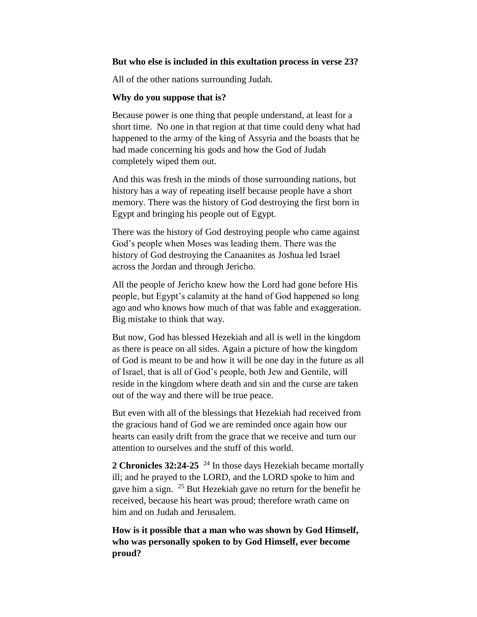## **But who else is included in this exultation process in verse 23?**

All of the other nations surrounding Judah.

## **Why do you suppose that is?**

Because power is one thing that people understand, at least for a short time. No one in that region at that time could deny what had happened to the army of the king of Assyria and the boasts that he had made concerning his gods and how the God of Judah completely wiped them out.

And this was fresh in the minds of those surrounding nations, but history has a way of repeating itself because people have a short memory. There was the history of God destroying the first born in Egypt and bringing his people out of Egypt.

There was the history of God destroying people who came against God's people when Moses was leading them. There was the history of God destroying the Canaanites as Joshua led Israel across the Jordan and through Jericho.

All the people of Jericho knew how the Lord had gone before His people, but Egypt's calamity at the hand of God happened so long ago and who knows how much of that was fable and exaggeration. Big mistake to think that way.

But now, God has blessed Hezekiah and all is well in the kingdom as there is peace on all sides. Again a picture of how the kingdom of God is meant to be and how it will be one day in the future as all of Israel, that is all of God's people, both Jew and Gentile, will reside in the kingdom where death and sin and the curse are taken out of the way and there will be true peace.

But even with all of the blessings that Hezekiah had received from the gracious hand of God we are reminded once again how our hearts can easily drift from the grace that we receive and turn our attention to ourselves and the stuff of this world.

**2 Chronicles 32:24-25** <sup>24</sup> In those days Hezekiah became mortally ill; and he prayed to the LORD, and the LORD spoke to him and gave him a sign. <sup>25</sup> But Hezekiah gave no return for the benefit he received, because his heart was proud; therefore wrath came on him and on Judah and Jerusalem.

**How is it possible that a man who was shown by God Himself, who was personally spoken to by God Himself, ever become proud?**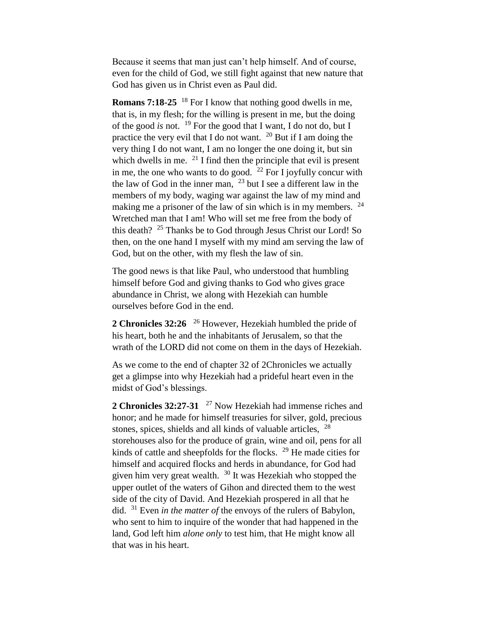Because it seems that man just can't help himself. And of course, even for the child of God, we still fight against that new nature that God has given us in Christ even as Paul did.

**Romans 7:18-25** <sup>18</sup> For I know that nothing good dwells in me, that is, in my flesh; for the willing is present in me, but the doing of the good *is* not. <sup>19</sup> For the good that I want, I do not do, but I practice the very evil that I do not want.  $^{20}$  But if I am doing the very thing I do not want, I am no longer the one doing it, but sin which dwells in me.  $21$  I find then the principle that evil is present in me, the one who wants to do good. <sup>22</sup> For I joyfully concur with the law of God in the inner man,  $^{23}$  but I see a different law in the members of my body, waging war against the law of my mind and making me a prisoner of the law of sin which is in my members.  $24$ Wretched man that I am! Who will set me free from the body of this death?  $25$  Thanks be to God through Jesus Christ our Lord! So then, on the one hand I myself with my mind am serving the law of God, but on the other, with my flesh the law of sin.

The good news is that like Paul, who understood that humbling himself before God and giving thanks to God who gives grace abundance in Christ, we along with Hezekiah can humble ourselves before God in the end.

2 Chronicles 32:26 <sup>26</sup> However, Hezekiah humbled the pride of his heart, both he and the inhabitants of Jerusalem, so that the wrath of the LORD did not come on them in the days of Hezekiah.

As we come to the end of chapter 32 of 2Chronicles we actually get a glimpse into why Hezekiah had a prideful heart even in the midst of God's blessings.

2 Chronicles 32:27-31 <sup>27</sup> Now Hezekiah had immense riches and honor; and he made for himself treasuries for silver, gold, precious stones, spices, shields and all kinds of valuable articles,  $^{28}$ storehouses also for the produce of grain, wine and oil, pens for all kinds of cattle and sheepfolds for the flocks. <sup>29</sup> He made cities for himself and acquired flocks and herds in abundance, for God had given him very great wealth.  $30$  It was Hezekiah who stopped the upper outlet of the waters of Gihon and directed them to the west side of the city of David. And Hezekiah prospered in all that he did. <sup>31</sup> Even *in the matter of* the envoys of the rulers of Babylon, who sent to him to inquire of the wonder that had happened in the land, God left him *alone only* to test him, that He might know all that was in his heart.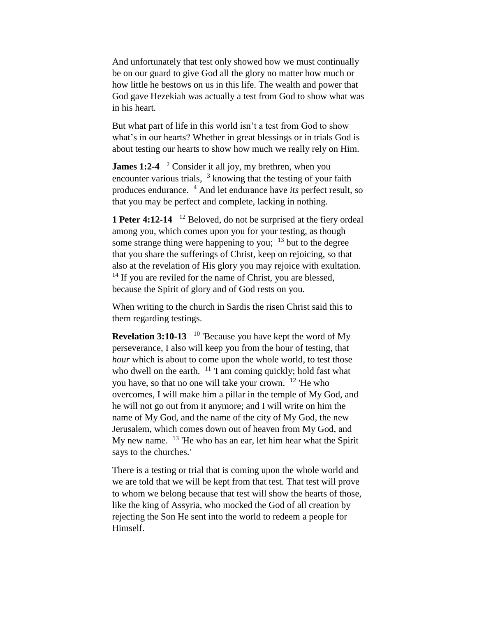And unfortunately that test only showed how we must continually be on our guard to give God all the glory no matter how much or how little he bestows on us in this life. The wealth and power that God gave Hezekiah was actually a test from God to show what was in his heart.

But what part of life in this world isn't a test from God to show what's in our hearts? Whether in great blessings or in trials God is about testing our hearts to show how much we really rely on Him.

**James 1:2-4** <sup>2</sup> Consider it all joy, my brethren, when you encounter various trials, <sup>3</sup> knowing that the testing of your faith produces endurance. <sup>4</sup> And let endurance have *its* perfect result, so that you may be perfect and complete, lacking in nothing.

**1 Peter 4:12-14** <sup>12</sup> Beloved, do not be surprised at the fiery ordeal among you, which comes upon you for your testing, as though some strange thing were happening to you;  $13$  but to the degree that you share the sufferings of Christ, keep on rejoicing, so that also at the revelation of His glory you may rejoice with exultation.  $14$  If you are reviled for the name of Christ, you are blessed, because the Spirit of glory and of God rests on you.

When writing to the church in Sardis the risen Christ said this to them regarding testings.

**Revelation 3:10-13** <sup>10</sup> 'Because you have kept the word of My perseverance, I also will keep you from the hour of testing, that *hour* which is about to come upon the whole world, to test those who dwell on the earth. <sup>11</sup> 'I am coming quickly; hold fast what you have, so that no one will take your crown. <sup>12</sup> 'He who overcomes, I will make him a pillar in the temple of My God, and he will not go out from it anymore; and I will write on him the name of My God, and the name of the city of My God, the new Jerusalem, which comes down out of heaven from My God, and My new name. <sup>13</sup> 'He who has an ear, let him hear what the Spirit says to the churches.'

There is a testing or trial that is coming upon the whole world and we are told that we will be kept from that test. That test will prove to whom we belong because that test will show the hearts of those, like the king of Assyria, who mocked the God of all creation by rejecting the Son He sent into the world to redeem a people for Himself.